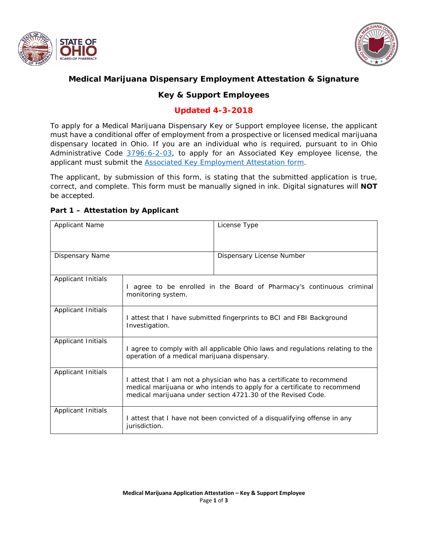



## **Medical Marijuana Dispensary Employment Attestation & Signature**

# **Key & Support Employees**

### **Updated 4-3-2018**

*To apply for a Medical Marijuana Dispensary Key or Support employee license, the applicant must have a conditional offer of employment from a prospective or licensed medical marijuana dispensary located in Ohio. If you are an individual who is required, pursuant to in Ohio Administrative Code [3796:6-2-03,](http://codes.ohio.gov/oac/3796:6-2-03v1) to apply for an Associated Key employee license, the applicant must submit the [Associated Key Employment Attestation form.](https://medicalmarijuana.ohio.gov/ownerattest)* 

*The applicant, by submission of this form, is stating that the submitted application is true, correct, and complete. This form must be manually signed in ink. Digital signatures will NOT be accepted.*

|  |  |  | Part 1 - Attestation by Applicant |
|--|--|--|-----------------------------------|
|--|--|--|-----------------------------------|

| <b>Applicant Name</b> |                                                                                                                                                                                                                   | License Type              |
|-----------------------|-------------------------------------------------------------------------------------------------------------------------------------------------------------------------------------------------------------------|---------------------------|
| Dispensary Name       |                                                                                                                                                                                                                   | Dispensary License Number |
| Applicant Initials    | I agree to be enrolled in the Board of Pharmacy's continuous criminal<br>monitoring system.                                                                                                                       |                           |
| Applicant Initials    | I attest that I have submitted fingerprints to BCI and FBI Background<br>Investigation.                                                                                                                           |                           |
| Applicant Initials    | I agree to comply with all applicable Ohio laws and regulations relating to the<br>operation of a medical marijuana dispensary.                                                                                   |                           |
| Applicant Initials    | I attest that I am not a physician who has a certificate to recommend<br>medical marijuana or who intends to apply for a certificate to recommend<br>medical marijuana under section 4721.30 of the Revised Code. |                           |
| Applicant Initials    | I attest that I have not been convicted of a disqualifying offense in any<br><i>jurisdiction.</i>                                                                                                                 |                           |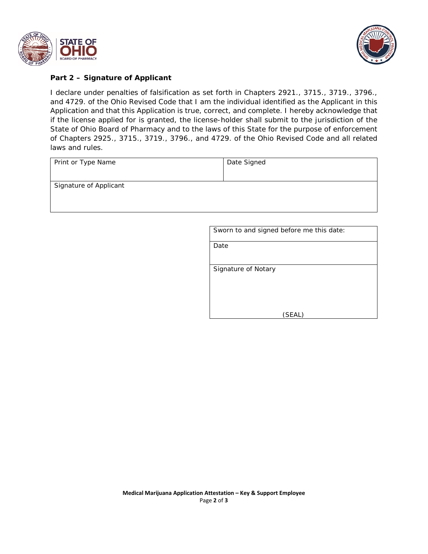



### **Part 2 – Signature of Applicant**

*I declare under penalties of falsification as set forth in Chapters 2921., 3715., 3719., 3796., and 4729. of the Ohio Revised Code that I am the individual identified as the Applicant in this Application and that this Application is true, correct, and complete. I hereby acknowledge that if the license applied for is granted, the license-holder shall submit to the jurisdiction of the State of Ohio Board of Pharmacy and to the laws of this State for the purpose of enforcement of Chapters 2925., 3715., 3719., 3796., and 4729. of the Ohio Revised Code and all related laws and rules.*

| Print or Type Name            | Date Signed |
|-------------------------------|-------------|
|                               |             |
| <b>Signature of Applicant</b> |             |
|                               |             |

| Sworn to and signed before me this date: |  |
|------------------------------------------|--|
|------------------------------------------|--|

*Date*

*Signature of Notary*

*(SEAL)*